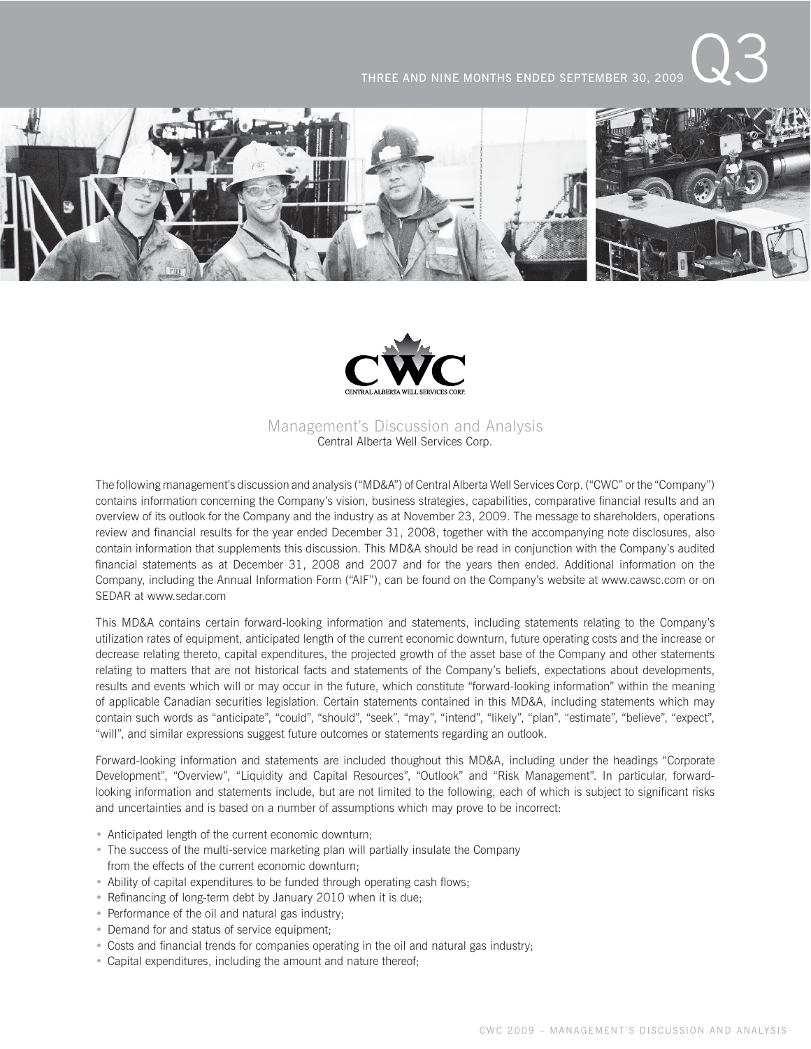THREE AND NINE MONTHS ENDED SEPTEMBER 30, 2009





# Management's Discussion and Analysis Central Alberta Well Services Corp.

The following management's discussion and analysis ("MD&A") of Central Alberta Well Services Corp. ("CWC" or the "Company") contains information concerning the Company's vision, business strategies, capabilities, comparative financial results and an overview of its outlook for the Company and the industry as at November 23, 2009. The message to shareholders, operations review and financial results for the year ended December 31, 2008, together with the accompanying note disclosures, also contain information that supplements this discussion. This MD&A should be read in conjunction with the Company's audited financial statements as at December 31, 2008 and 2007 and for the years then ended. Additional information on the Company, including the Annual Information Form ("AIF"), can be found on the Company's website at www.cawsc.com or on SEDAR at www.sedar.com

This MD&A contains certain forward-looking information and statements, including statements relating to the Company's utilization rates of equipment, anticipated length of the current economic downturn, future operating costs and the increase or decrease relating thereto, capital expenditures, the projected growth of the asset base of the Company and other statements relating to matters that are not historical facts and statements of the Company's beliefs, expectations about developments, results and events which will or may occur in the future, which constitute "forward-looking information" within the meaning of applicable Canadian securities legislation. Certain statements contained in this MD&A, including statements which may contain such words as "anticipate", "could", "should", "seek", "may", "intend", "likely", "plan", "estimate", "believe", "expect", "will", and similar expressions suggest future outcomes or statements regarding an outlook.

Forward-looking information and statements are included thoughout this MD&A, including under the headings "Corporate Development", "Overview", "Liquidity and Capital Resources", "Outlook" and "Risk Management". In particular, forwardlooking information and statements include, but are not limited to the following, each of which is subject to significant risks and uncertainties and is based on a number of assumptions which may prove to be incorrect:

- Anticipated length of the current economic downturn;
- The success of the multi-service marketing plan will partially insulate the Company from the effects of the current economic downturn;
- Ability of capital expenditures to be funded through operating cash flows;
- Refinancing of long-term debt by January 2010 when it is due;
- Performance of the oil and natural gas industry;
- Demand for and status of service equipment;
- Costs and financial trends for companies operating in the oil and natural gas industry;
- Capital expenditures, including the amount and nature thereof;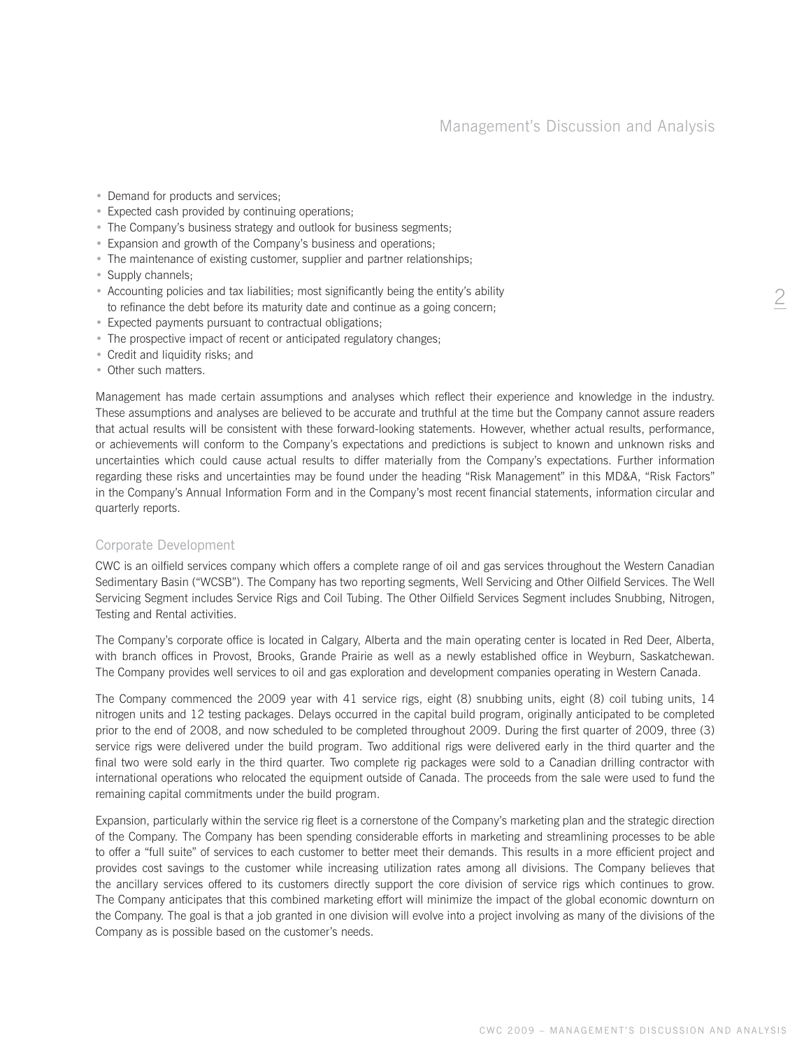- Demand for products and services;
- Expected cash provided by continuing operations;
- The Company's business strategy and outlook for business segments;
- Expansion and growth of the Company's business and operations;
- The maintenance of existing customer, supplier and partner relationships;
- Supply channels;
- Accounting policies and tax liabilities; most significantly being the entity's ability to refinance the debt before its maturity date and continue as a going concern;
- Expected payments pursuant to contractual obligations;
- The prospective impact of recent or anticipated regulatory changes;
- Credit and liquidity risks; and
- Other such matters.

Management has made certain assumptions and analyses which reflect their experience and knowledge in the industry. These assumptions and analyses are believed to be accurate and truthful at the time but the Company cannot assure readers that actual results will be consistent with these forward-looking statements. However, whether actual results, performance, or achievements will conform to the Company's expectations and predictions is subject to known and unknown risks and uncertainties which could cause actual results to differ materially from the Company's expectations. Further information regarding these risks and uncertainties may be found under the heading "Risk Management" in this MD&A, "Risk Factors" in the Company's Annual Information Form and in the Company's most recent financial statements, information circular and quarterly reports.

# Corporate Development

CWC is an oilfield services company which offers a complete range of oil and gas services throughout the Western Canadian Sedimentary Basin ("WCSB"). The Company has two reporting segments, Well Servicing and Other Oilfield Services. The Well Servicing Segment includes Service Rigs and Coil Tubing. The Other Oilfield Services Segment includes Snubbing, Nitrogen, Testing and Rental activities.

The Company's corporate office is located in Calgary, Alberta and the main operating center is located in Red Deer, Alberta, with branch offices in Provost, Brooks, Grande Prairie as well as a newly established office in Weyburn, Saskatchewan. The Company provides well services to oil and gas exploration and development companies operating in Western Canada.

The Company commenced the 2009 year with 41 service rigs, eight (8) snubbing units, eight (8) coil tubing units, 14 nitrogen units and 12 testing packages. Delays occurred in the capital build program, originally anticipated to be completed prior to the end of 2008, and now scheduled to be completed throughout 2009. During the first quarter of 2009, three (3) service rigs were delivered under the build program. Two additional rigs were delivered early in the third quarter and the final two were sold early in the third quarter. Two complete rig packages were sold to a Canadian drilling contractor with international operations who relocated the equipment outside of Canada. The proceeds from the sale were used to fund the remaining capital commitments under the build program.

Expansion, particularly within the service rig fleet is a cornerstone of the Company's marketing plan and the strategic direction of the Company. The Company has been spending considerable efforts in marketing and streamlining processes to be able to offer a "full suite" of services to each customer to better meet their demands. This results in a more efficient project and provides cost savings to the customer while increasing utilization rates among all divisions. The Company believes that the ancillary services offered to its customers directly support the core division of service rigs which continues to grow. The Company anticipates that this combined marketing effort will minimize the impact of the global economic downturn on the Company. The goal is that a job granted in one division will evolve into a project involving as many of the divisions of the Company as is possible based on the customer's needs.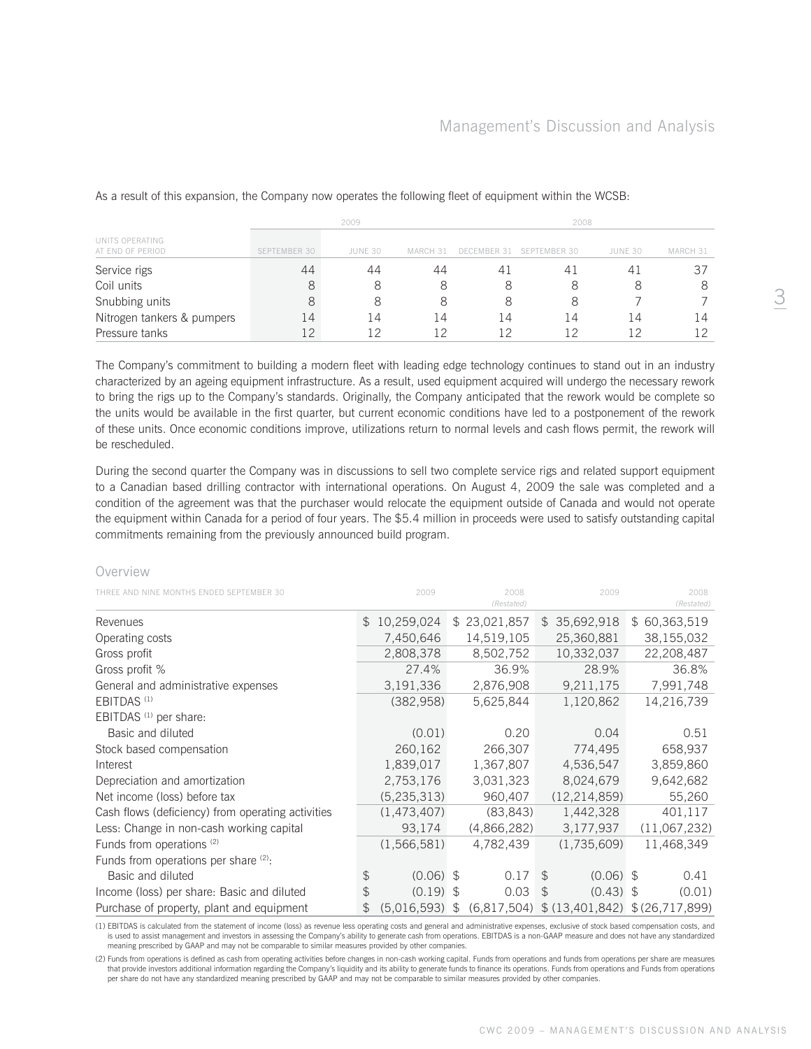|                                     |              | 2009    |          | 2008        |              |         |          |  |  |
|-------------------------------------|--------------|---------|----------|-------------|--------------|---------|----------|--|--|
| UNITS OPERATING<br>AT END OF PERIOD | SEPTEMBER 30 | JUNE 30 | MARCH 31 | DECEMBER 31 | SEPTEMBER 30 | JUNE 30 | MARCH 31 |  |  |
| Service rigs                        | 44           | 44      | 44       | 41          | 41           | 41      | 37       |  |  |
| Coil units                          | 8            | 8       | 8        | 8           | 8            |         |          |  |  |
| Snubbing units                      | 8            | 8       | 8        | 8           | 8            |         |          |  |  |
| Nitrogen tankers & pumpers          | 14           | 14      | 14       | 14          | 14           | 14      | 14       |  |  |
| Pressure tanks                      | 1つ           | 12      | 1 2      |             |              |         |          |  |  |

As a result of this expansion, the Company now operates the following fleet of equipment within the WCSB:

The Company's commitment to building a modern fleet with leading edge technology continues to stand out in an industry characterized by an ageing equipment infrastructure. As a result, used equipment acquired will undergo the necessary rework to bring the rigs up to the Company's standards. Originally, the Company anticipated that the rework would be complete so the units would be available in the first quarter, but current economic conditions have led to a postponement of the rework of these units. Once economic conditions improve, utilizations return to normal levels and cash flows permit, the rework will be rescheduled.

During the second quarter the Company was in discussions to sell two complete service rigs and related support equipment to a Canadian based drilling contractor with international operations. On August 4, 2009 the sale was completed and a condition of the agreement was that the purchaser would relocate the equipment outside of Canada and would not operate the equipment within Canada for a period of four years. The \$5.4 million in proceeds were used to satisfy outstanding capital commitments remaining from the previously announced build program.

#### Overview

| THREE AND NINE MONTHS ENDED SEPTEMBER 30          |              | 2009          | 2008<br>(Restated) |                | 2009                                                               | 2008<br>(Restated) |
|---------------------------------------------------|--------------|---------------|--------------------|----------------|--------------------------------------------------------------------|--------------------|
| Revenues                                          | $\mathbb{S}$ | 10,259,024    | \$23,021,857       |                | \$35,692,918                                                       | \$60,363,519       |
| Operating costs                                   |              | 7,450,646     | 14,519,105         |                | 25,360,881                                                         | 38,155,032         |
| Gross profit                                      |              | 2,808,378     | 8,502,752          |                | 10,332,037                                                         | 22,208,487         |
| Gross profit %                                    |              | 27.4%         | 36.9%              |                | 28.9%                                                              | 36.8%              |
| General and administrative expenses               |              | 3,191,336     | 2,876,908          |                | 9,211,175                                                          | 7,991,748          |
| EBITDAS <sup>(1)</sup>                            |              | (382, 958)    | 5,625,844          |                | 1,120,862                                                          | 14,216,739         |
| EBITDAS <sup>(1)</sup> per share:                 |              |               |                    |                |                                                                    |                    |
| Basic and diluted                                 |              | (0.01)        | 0.20               |                | 0.04                                                               | 0.51               |
| Stock based compensation                          |              | 260,162       | 266,307            |                | 774,495                                                            | 658,937            |
| Interest                                          |              | 1,839,017     | 1,367,807          |                | 4,536,547                                                          | 3,859,860          |
| Depreciation and amortization                     |              | 2,753,176     | 3,031,323          |                | 8,024,679                                                          | 9,642,682          |
| Net income (loss) before tax                      |              | (5, 235, 313) | 960,407            |                | (12, 214, 859)                                                     | 55,260             |
| Cash flows (deficiency) from operating activities |              | (1,473,407)   | (83, 843)          |                | 1,442,328                                                          | 401,117            |
| Less: Change in non-cash working capital          |              | 93,174        | (4,866,282)        |                | 3,177,937                                                          | (11,067,232)       |
| Funds from operations (2)                         |              | (1,566,581)   | 4,782,439          |                | (1,735,609)                                                        | 11,468,349         |
| Funds from operations per share (2).              |              |               |                    |                |                                                                    |                    |
| Basic and diluted                                 | \$           | $(0.06)$ \$   | 0.17               | $\mathfrak{L}$ | $(0.06)$ \$                                                        | 0.41               |
| Income (loss) per share: Basic and diluted        | \$           | $(0.19)$ \$   | 0.03               | $\mathcal{F}$  | $(0.43)$ \$                                                        | (0.01)             |
| Purchase of property, plant and equipment         | \$           |               |                    |                | $(5.016.593)$ \$ $(6.817.504)$ \$ $(13.401.842)$ \$ $(26.717.899)$ |                    |

(1) EBITDAS is calculated from the statement of income (loss) as revenue less operating costs and general and administrative expenses, exclusive of stock based compensation costs, and is used to assist management and investors in assessing the Company's ability to generate cash from operations. EBITDAS is a non-GAAP measure and does not have any standardized meaning prescribed by GAAP and may not be comparable to similar measures provided by other companies.

(2) Funds from operations is defined as cash from operating activities before changes in non-cash working capital. Funds from operations and funds from operations per share are measures that provide investors additional information regarding the Company's liquidity and its ability to generate funds to finance its operations. Funds from operations and Funds from operations per share do not have any standardized meaning prescribed by GAAP and may not be comparable to similar measures provided by other companies.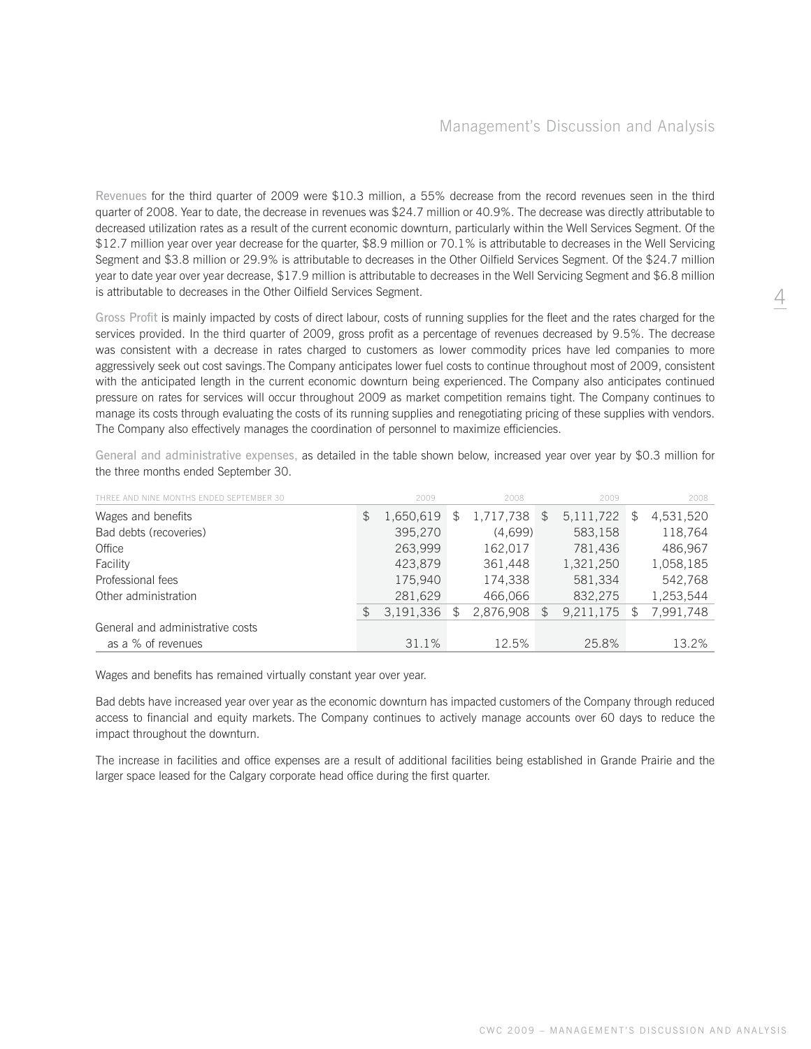Revenues for the third quarter of 2009 were \$10.3 million, a 55% decrease from the record revenues seen in the third quarter of 2008. Year to date, the decrease in revenues was \$24.7 million or 40.9%. The decrease was directly attributable to decreased utilization rates as a result of the current economic downturn, particularly within the Well Services Segment. Of the \$12.7 million year over year decrease for the quarter, \$8.9 million or 70.1% is attributable to decreases in the Well Servicing Segment and \$3.8 million or 29.9% is attributable to decreases in the Other Oilfield Services Segment. Of the \$24.7 million year to date year over year decrease, \$17.9 million is attributable to decreases in the Well Servicing Segment and \$6.8 million is attributable to decreases in the Other Oilfield Services Segment.

Gross Profit is mainly impacted by costs of direct labour, costs of running supplies for the fleet and the rates charged for the services provided. In the third quarter of 2009, gross profit as a percentage of revenues decreased by 9.5%. The decrease was consistent with a decrease in rates charged to customers as lower commodity prices have led companies to more aggressively seek out cost savings. The Company anticipates lower fuel costs to continue throughout most of 2009, consistent with the anticipated length in the current economic downturn being experienced. The Company also anticipates continued pressure on rates for services will occur throughout 2009 as market competition remains tight. The Company continues to manage its costs through evaluating the costs of its running supplies and renegotiating pricing of these supplies with vendors. The Company also effectively manages the coordination of personnel to maximize efficiencies.

| THREE AND NINE MONTHS ENDED SEPTEMBER 30 |     | 2009      | 2008            |               | 2009        |     | 2008      |
|------------------------------------------|-----|-----------|-----------------|---------------|-------------|-----|-----------|
| Wages and benefits                       | \$  | 1,650,619 | \$<br>1,717,738 | $\mathcal{L}$ | 5, 111, 722 | \$. | 4,531,520 |
| Bad debts (recoveries)                   |     | 395,270   | (4,699)         |               | 583,158     |     | 118,764   |
| Office                                   |     | 263,999   | 162,017         |               | 781,436     |     | 486,967   |
| Facility                                 |     | 423,879   | 361,448         |               | 1,321,250   |     | 1,058,185 |
| Professional fees                        |     | 175,940   | 174,338         |               | 581,334     |     | 542,768   |
| Other administration                     |     | 281,629   | 466.066         |               | 832.275     |     | 1,253,544 |
|                                          | \$. | 3,191,336 | 2,876,908       | $\mathcal{F}$ | 9,211,175   |     | 7,991,748 |
| General and administrative costs         |     |           |                 |               |             |     |           |
| as a % of revenues                       |     | 31.1%     | 12.5%           |               | 25.8%       |     | 13.2%     |

General and administrative expenses, as detailed in the table shown below, increased year over year by \$0.3 million for the three months ended September 30.

Wages and benefits has remained virtually constant year over year.

Bad debts have increased year over year as the economic downturn has impacted customers of the Company through reduced access to financial and equity markets. The Company continues to actively manage accounts over 60 days to reduce the impact throughout the downturn.

The increase in facilities and office expenses are a result of additional facilities being established in Grande Prairie and the larger space leased for the Calgary corporate head office during the first quarter.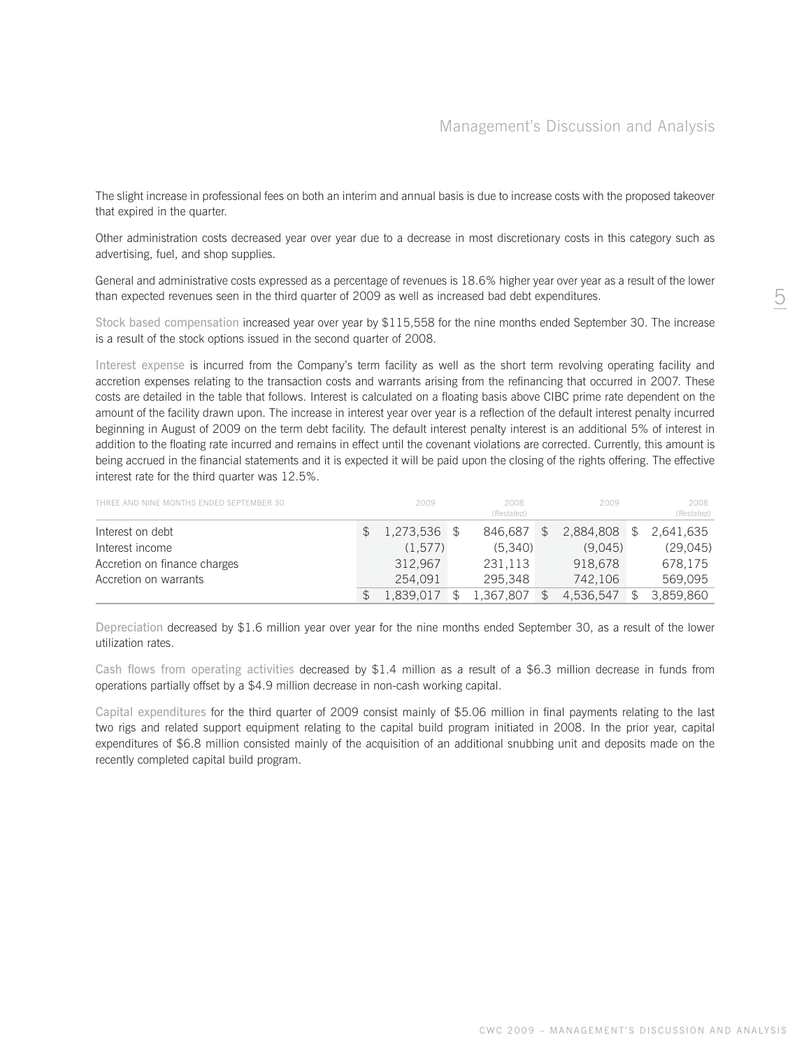The slight increase in professional fees on both an interim and annual basis is due to increase costs with the proposed takeover that expired in the quarter.

Other administration costs decreased year over year due to a decrease in most discretionary costs in this category such as advertising, fuel, and shop supplies.

General and administrative costs expressed as a percentage of revenues is 18.6% higher year over year as a result of the lower than expected revenues seen in the third quarter of 2009 as well as increased bad debt expenditures.

Stock based compensation increased year over year by \$115,558 for the nine months ended September 30. The increase is a result of the stock options issued in the second quarter of 2008.

Interest expense is incurred from the Company's term facility as well as the short term revolving operating facility and accretion expenses relating to the transaction costs and warrants arising from the refinancing that occurred in 2007. These costs are detailed in the table that follows. Interest is calculated on a floating basis above CIBC prime rate dependent on the amount of the facility drawn upon. The increase in interest year over year is a reflection of the default interest penalty incurred beginning in August of 2009 on the term debt facility. The default interest penalty interest is an additional 5% of interest in addition to the floating rate incurred and remains in effect until the covenant violations are corrected. Currently, this amount is being accrued in the financial statements and it is expected it will be paid upon the closing of the rights offering. The effective interest rate for the third quarter was 12.5%.

| THREE AND NINE MONTHS ENDED SEPTEMBER 30 | 2009      | 2008<br>(Restated) | 2009               | 2008<br>(Restated) |
|------------------------------------------|-----------|--------------------|--------------------|--------------------|
| Interest on debt                         | 1,273,536 | 846.687            | \$<br>2,884,808 \$ | 2,641,635          |
| Interest income                          | (1.577)   | (5.340)            | (9.045)            | (29,045)           |
| Accretion on finance charges             | 312.967   | 231.113            | 918.678            | 678,175            |
| Accretion on warrants                    | 254.091   | 295.348            | 742.106            | 569.095            |
|                                          | 1.839.017 | 1.367.807          | 4,536,547          | 3.859.860          |

Depreciation decreased by \$1.6 million year over year for the nine months ended September 30, as a result of the lower utilization rates.

Cash flows from operating activities decreased by \$1.4 million as a result of a \$6.3 million decrease in funds from operations partially offset by a \$4.9 million decrease in non-cash working capital.

Capital expenditures for the third quarter of 2009 consist mainly of \$5.06 million in final payments relating to the last two rigs and related support equipment relating to the capital build program initiated in 2008. In the prior year, capital expenditures of \$6.8 million consisted mainly of the acquisition of an additional snubbing unit and deposits made on the recently completed capital build program.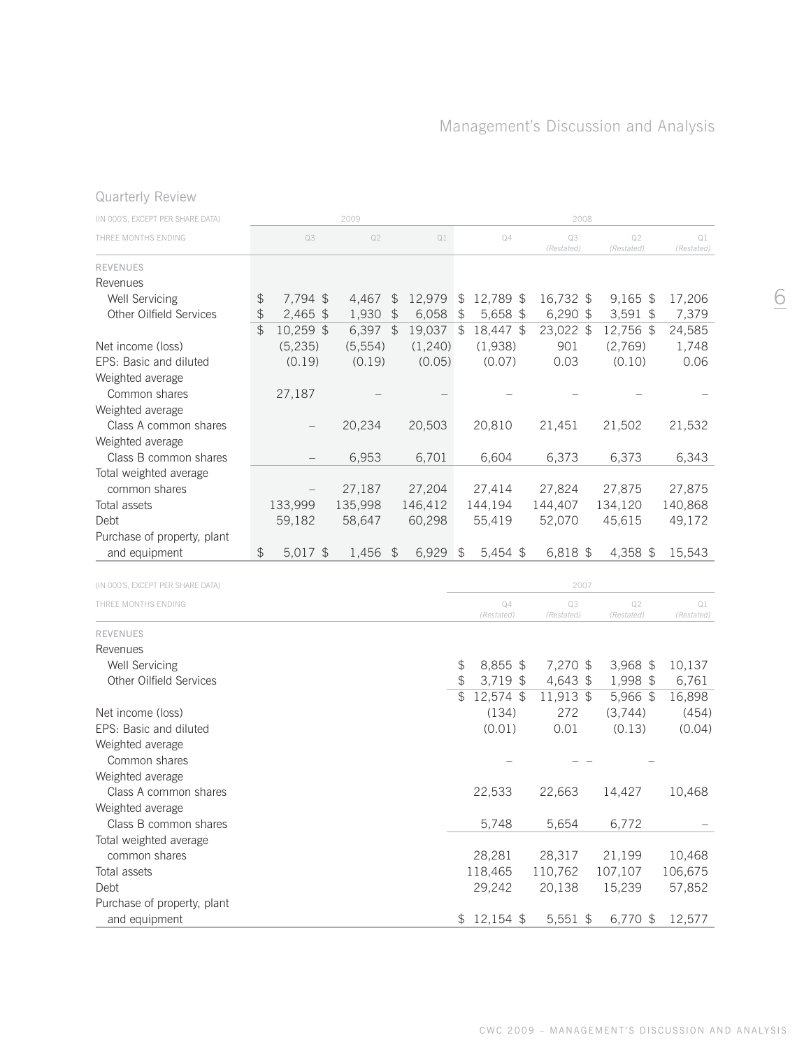# Quarterly Review

| (IN 000'S, EXCEPT PER SHARE DATA) |                |           | 2009       |                |         |                |                  | 2008             |                  |                  |
|-----------------------------------|----------------|-----------|------------|----------------|---------|----------------|------------------|------------------|------------------|------------------|
| THREE MONTHS ENDING               |                | Q3        | Q2         |                | Q1      |                | Q4               | Q3<br>(Restated) | Q2<br>(Restated) | Q1<br>(Restated) |
| <b>REVENUES</b>                   |                |           |            |                |         |                |                  |                  |                  |                  |
| Revenues                          |                |           |            |                |         |                |                  |                  |                  |                  |
| Well Servicing                    | \$             | 7,794 \$  | 4,467      | $\mathfrak{P}$ | 12,979  | \$             | 12,789 \$        | 16,732 \$        | $9,165$ \$       | 17,206           |
| Other Oilfield Services           | \$             | 2,465 \$  | 1,930      | $\frac{1}{2}$  | 6,058   | $\frac{1}{2}$  | 5,658 \$         | 6,290 \$         | $3,591$ \$       | 7,379            |
|                                   | \$             | 10,259 \$ | $6,397$ \$ |                | 19,037  | $\frac{1}{2}$  | 18,447 \$        | 23,022 \$        | 12,756 \$        | 24,585           |
| Net income (loss)                 |                | (5, 235)  | (5, 554)   |                | (1,240) |                | (1,938)          | 901              | (2,769)          | 1,748            |
| EPS: Basic and diluted            |                | (0.19)    | (0.19)     |                | (0.05)  |                | (0.07)           | 0.03             | (0.10)           | 0.06             |
| Weighted average                  |                |           |            |                |         |                |                  |                  |                  |                  |
| Common shares                     |                | 27,187    |            |                |         |                |                  |                  |                  |                  |
| Weighted average                  |                |           |            |                |         |                |                  |                  |                  |                  |
| Class A common shares             |                |           | 20,234     |                | 20,503  |                | 20,810           | 21,451           | 21,502           | 21,532           |
| Weighted average                  |                |           |            |                |         |                |                  |                  |                  |                  |
| Class B common shares             |                |           | 6,953      |                | 6,701   |                | 6,604            | 6,373            | 6,373            | 6,343            |
| Total weighted average            |                |           |            |                |         |                |                  |                  |                  |                  |
| common shares                     |                |           | 27,187     |                | 27,204  |                | 27,414           | 27,824           | 27,875           | 27,875           |
| Total assets                      |                | 133,999   | 135,998    |                | 146,412 |                | 144,194          | 144,407          | 134,120          | 140,868          |
| Debt                              |                |           |            |                | 60,298  |                | 55,419           | 52,070           | 45,615           |                  |
|                                   |                | 59,182    | 58,647     |                |         |                |                  |                  |                  | 49,172           |
| Purchase of property, plant       |                |           |            |                |         |                |                  |                  |                  |                  |
| and equipment                     | $\updownarrow$ | 5,017 \$  | 1,456      | $\mathfrak{S}$ | 6,929   | $\sqrt{3}$     | $5,454$ \$       | 6,818 \$         | 4,358 \$         | 15,543           |
| (IN 000'S, EXCEPT PER SHARE DATA) |                |           |            |                |         |                |                  | 2007             |                  |                  |
|                                   |                |           |            |                |         |                |                  |                  |                  |                  |
| THREE MONTHS ENDING               |                |           |            |                |         |                | Q4<br>(Restated) | Q3<br>(Restated) | Q2<br>(Restated) | Q1<br>(Restated) |
| <b>REVENUES</b>                   |                |           |            |                |         |                |                  |                  |                  |                  |
| Revenues                          |                |           |            |                |         |                |                  |                  |                  |                  |
| <b>Well Servicing</b>             |                |           |            |                |         | \$             | 8,855 \$         | 7,270 \$         | $3,968$ \$       | 10,137           |
| Other Oilfield Services           |                |           |            |                |         | $\frac{1}{2}$  | 3,719 \$         | 4,643 \$         | 1,998 \$         | 6,761            |
|                                   |                |           |            |                |         | $\mathfrak{P}$ | 12,574 \$        | 11,913 \$        | 5,966 \$         | 16,898           |
| Net income (loss)                 |                |           |            |                |         |                | (134)            | 272              | (3,744)          | (454)            |
| EPS: Basic and diluted            |                |           |            |                |         |                | (0.01)           | 0.01             | (0.13)           | (0.04)           |
| Weighted average                  |                |           |            |                |         |                |                  |                  |                  |                  |
| Common shares                     |                |           |            |                |         |                |                  |                  |                  |                  |
| Weighted average                  |                |           |            |                |         |                |                  |                  |                  |                  |
| Class A common shares             |                |           |            |                |         |                | 22,533           | 22,663           | 14,427           | 10,468           |
| Weighted average                  |                |           |            |                |         |                |                  |                  |                  |                  |
| Class B common shares             |                |           |            |                |         |                | 5,748            | 5,654            | 6,772            |                  |
| Total weighted average            |                |           |            |                |         |                |                  |                  |                  |                  |
| common shares                     |                |           |            |                |         |                | 28,281           | 28,317           | 21,199           | 10,468           |
| Total assets                      |                |           |            |                |         |                | 118,465          | 110,762          | 107,107          | 106,675          |
| Debt                              |                |           |            |                |         |                | 29,242           | 20,138           | 15,239           | 57,852           |
| Purchase of property, plant       |                |           |            |                |         |                |                  |                  |                  |                  |
| and equipment                     |                |           |            |                |         |                | $$12,154$ \$     | 5,551 \$         | 6,770 \$         | 12,577           |
|                                   |                |           |            |                |         |                |                  |                  |                  |                  |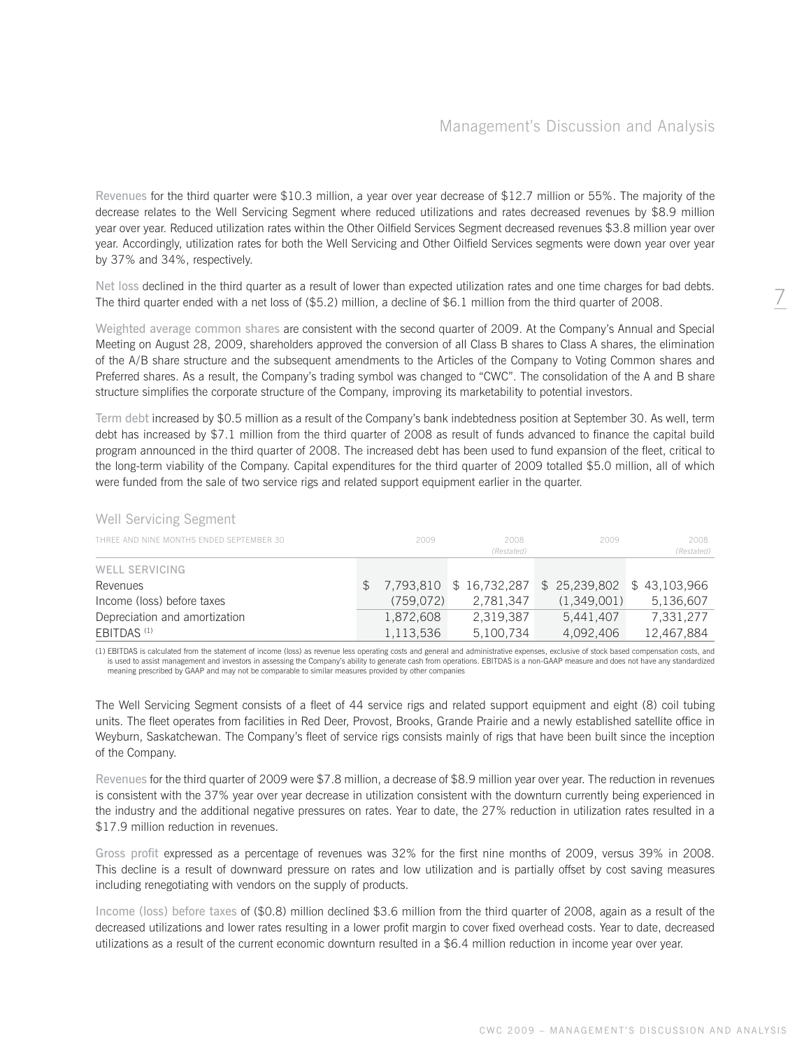Revenues for the third quarter were \$10.3 million, a year over year decrease of \$12.7 million or 55%. The majority of the decrease relates to the Well Servicing Segment where reduced utilizations and rates decreased revenues by \$8.9 million year over year. Reduced utilization rates within the Other Oilfield Services Segment decreased revenues \$3.8 million year over year. Accordingly, utilization rates for both the Well Servicing and Other Oilfield Services segments were down year over year by 37% and 34%, respectively.

Net loss declined in the third quarter as a result of lower than expected utilization rates and one time charges for bad debts. The third quarter ended with a net loss of (\$5.2) million, a decline of \$6.1 million from the third quarter of 2008.

Weighted average common shares are consistent with the second quarter of 2009. At the Company's Annual and Special Meeting on August 28, 2009, shareholders approved the conversion of all Class B shares to Class A shares, the elimination of the A/B share structure and the subsequent amendments to the Articles of the Company to Voting Common shares and Preferred shares. As a result, the Company's trading symbol was changed to "CWC". The consolidation of the A and B share structure simplifies the corporate structure of the Company, improving its marketability to potential investors.

Term debt increased by \$0.5 million as a result of the Company's bank indebtedness position at September 30. As well, term debt has increased by \$7.1 million from the third quarter of 2008 as result of funds advanced to finance the capital build program announced in the third quarter of 2008. The increased debt has been used to fund expansion of the fleet, critical to the long-term viability of the Company. Capital expenditures for the third quarter of 2009 totalled \$5.0 million, all of which were funded from the sale of two service rigs and related support equipment earlier in the quarter.

| THREE AND NINE MONTHS ENDED SEPTEMBER 30 | 2009      | 2008<br>(Restated)       | 2009                        | 2008<br>(Restated) |
|------------------------------------------|-----------|--------------------------|-----------------------------|--------------------|
| WELL SERVICING                           |           |                          |                             |                    |
| Revenues                                 |           | \$7,793,810 \$16,732,287 | \$ 25,239,802 \$ 43,103,966 |                    |
| Income (loss) before taxes               | (759.072) | 2,781,347                | (1,349,001)                 | 5,136,607          |
| Depreciation and amortization            | 1,872,608 | 2,319,387                | 5.441.407                   | 7,331,277          |
| EBITDAS <sup>(1)</sup>                   | 1,113,536 | 5,100,734                | 4,092,406                   | 12,467,884         |

# Well Servicing Segment

(1) EBITDAS is calculated from the statement of income (loss) as revenue less operating costs and general and administrative expenses, exclusive of stock based compensation costs, and is used to assist management and investors in assessing the Company's ability to generate cash from operations. EBITDAS is a non-GAAP measure and does not have any standardized meaning prescribed by GAAP and may not be comparable to similar measures provided by other companies

The Well Servicing Segment consists of a fleet of 44 service rigs and related support equipment and eight (8) coil tubing units. The fleet operates from facilities in Red Deer, Provost, Brooks, Grande Prairie and a newly established satellite office in Weyburn, Saskatchewan. The Company's fleet of service rigs consists mainly of rigs that have been built since the inception of the Company.

Revenues for the third quarter of 2009 were \$7.8 million, a decrease of \$8.9 million year over year. The reduction in revenues is consistent with the 37% year over year decrease in utilization consistent with the downturn currently being experienced in the industry and the additional negative pressures on rates. Year to date, the 27% reduction in utilization rates resulted in a \$17.9 million reduction in revenues.

Gross profit expressed as a percentage of revenues was 32% for the first nine months of 2009, versus 39% in 2008. This decline is a result of downward pressure on rates and low utilization and is partially offset by cost saving measures including renegotiating with vendors on the supply of products.

Income (loss) before taxes of (\$0.8) million declined \$3.6 million from the third quarter of 2008, again as a result of the decreased utilizations and lower rates resulting in a lower profit margin to cover fixed overhead costs. Year to date, decreased utilizations as a result of the current economic downturn resulted in a \$6.4 million reduction in income year over year.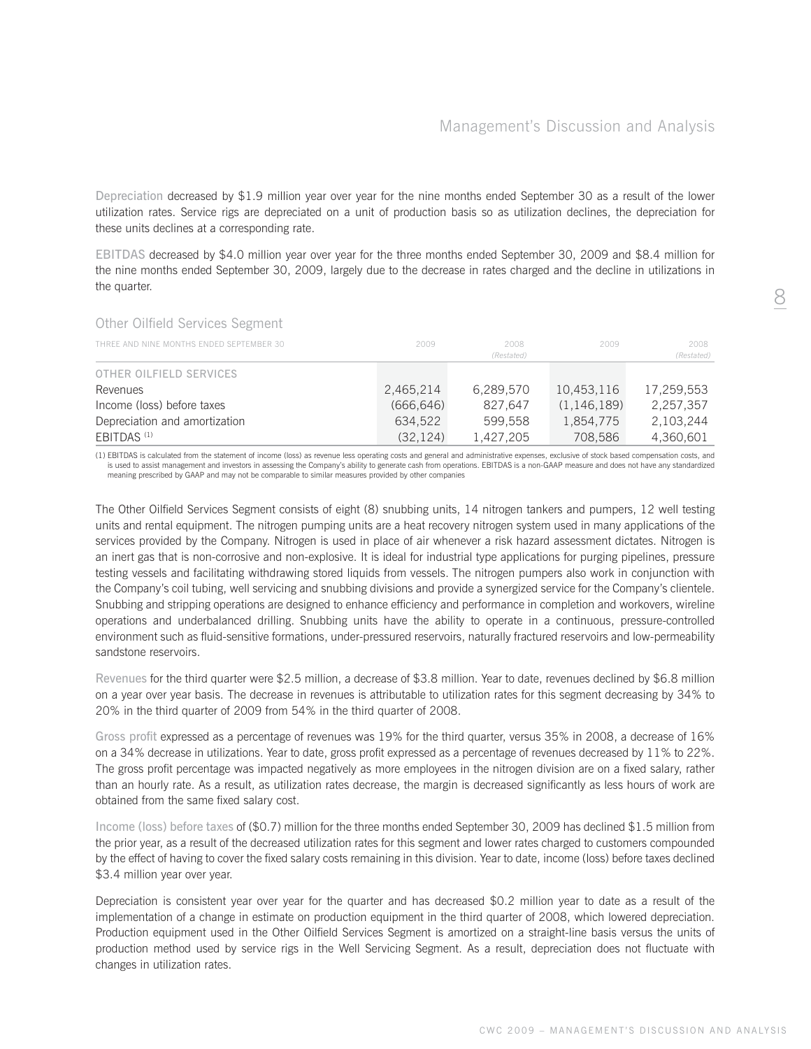Depreciation decreased by \$1.9 million year over year for the nine months ended September 30 as a result of the lower utilization rates. Service rigs are depreciated on a unit of production basis so as utilization declines, the depreciation for these units declines at a corresponding rate.

EBITDAS decreased by \$4.0 million year over year for the three months ended September 30, 2009 and \$8.4 million for the nine months ended September 30, 2009, largely due to the decrease in rates charged and the decline in utilizations in the quarter.

| <b>OLITUL OTHIUM OUT VIUUS OUGHIUHL</b>  |            |                    |               |                    |
|------------------------------------------|------------|--------------------|---------------|--------------------|
| THREE AND NINE MONTHS ENDED SEPTEMBER 30 | 2009       | 2008<br>(Restated) | 2009          | 2008<br>(Restated) |
| OTHER OILFIELD SERVICES                  |            |                    |               |                    |
| Revenues                                 | 2,465,214  | 6,289,570          | 10,453,116    | 17,259,553         |
| Income (loss) before taxes               | (666, 646) | 827.647            | (1, 146, 189) | 2,257,357          |
| Depreciation and amortization            | 634.522    | 599.558            | 1,854,775     | 2,103,244          |
| EBITDAS <sup>(1)</sup>                   | (32, 124)  | 1,427,205          | 708,586       | 4,360,601          |
|                                          |            |                    |               |                    |

Other Oilfield Services Segment

(1) EBITDAS is calculated from the statement of income (loss) as revenue less operating costs and general and administrative expenses, exclusive of stock based compensation costs, and<br>is used to assist management and inves meaning prescribed by GAAP and may not be comparable to similar measures provided by other companies

The Other Oilfield Services Segment consists of eight (8) snubbing units, 14 nitrogen tankers and pumpers, 12 well testing units and rental equipment. The nitrogen pumping units are a heat recovery nitrogen system used in many applications of the services provided by the Company. Nitrogen is used in place of air whenever a risk hazard assessment dictates. Nitrogen is an inert gas that is non-corrosive and non-explosive. It is ideal for industrial type applications for purging pipelines, pressure testing vessels and facilitating withdrawing stored liquids from vessels. The nitrogen pumpers also work in conjunction with the Company's coil tubing, well servicing and snubbing divisions and provide a synergized service for the Company's clientele. Snubbing and stripping operations are designed to enhance efficiency and performance in completion and workovers, wireline operations and underbalanced drilling. Snubbing units have the ability to operate in a continuous, pressure-controlled environment such as fluid-sensitive formations, under-pressured reservoirs, naturally fractured reservoirs and low-permeability sandstone reservoirs.

Revenues for the third quarter were \$2.5 million, a decrease of \$3.8 million. Year to date, revenues declined by \$6.8 million on a year over year basis. The decrease in revenues is attributable to utilization rates for this segment decreasing by 34% to 20% in the third quarter of 2009 from 54% in the third quarter of 2008.

Gross profit expressed as a percentage of revenues was 19% for the third quarter, versus 35% in 2008, a decrease of 16% on a 34% decrease in utilizations. Year to date, gross profit expressed as a percentage of revenues decreased by 11% to 22%. The gross profit percentage was impacted negatively as more employees in the nitrogen division are on a fixed salary, rather than an hourly rate. As a result, as utilization rates decrease, the margin is decreased significantly as less hours of work are obtained from the same fixed salary cost.

Income (loss) before taxes of (\$0.7) million for the three months ended September 30, 2009 has declined \$1.5 million from the prior year, as a result of the decreased utilization rates for this segment and lower rates charged to customers compounded by the effect of having to cover the fixed salary costs remaining in this division. Year to date, income (loss) before taxes declined \$3.4 million year over year.

Depreciation is consistent year over year for the quarter and has decreased \$0.2 million year to date as a result of the implementation of a change in estimate on production equipment in the third quarter of 2008, which lowered depreciation. Production equipment used in the Other Oilfield Services Segment is amortized on a straight-line basis versus the units of production method used by service rigs in the Well Servicing Segment. As a result, depreciation does not fluctuate with changes in utilization rates.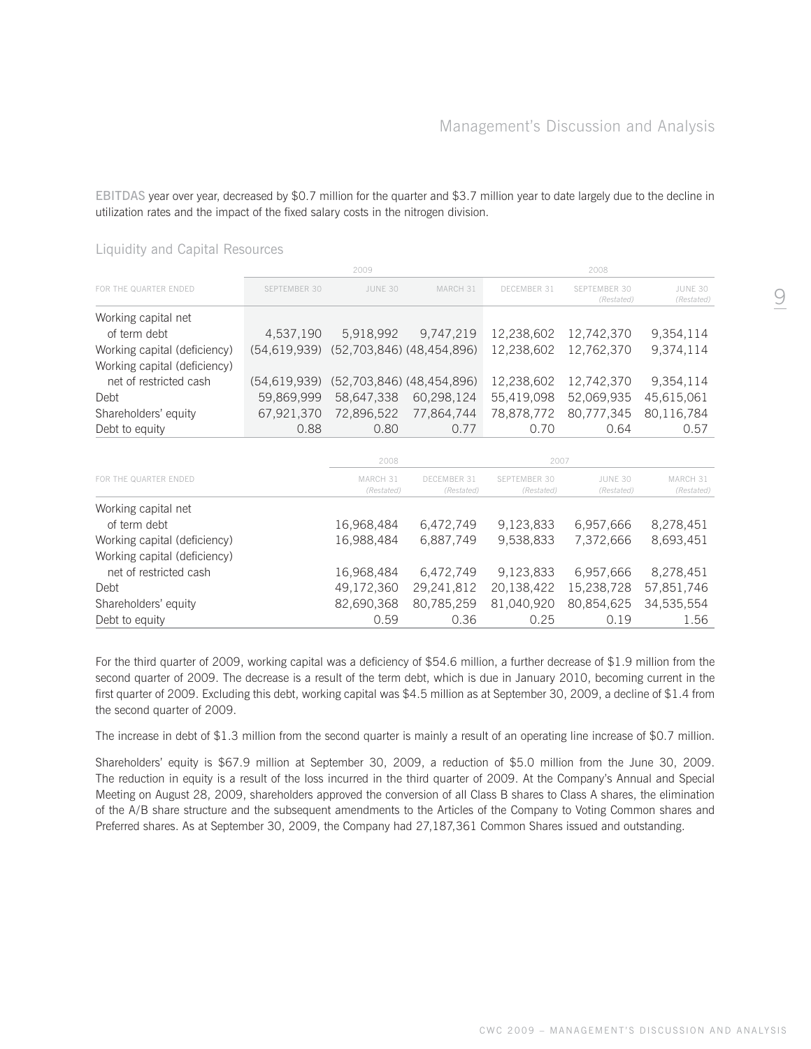EBITDAS year over year, decreased by \$0.7 million for the quarter and \$3.7 million year to date largely due to the decline in utilization rates and the impact of the fixed salary costs in the nitrogen division.

|                                     |                | 2009                                   |                           |                    | 2008                       |                       |
|-------------------------------------|----------------|----------------------------------------|---------------------------|--------------------|----------------------------|-----------------------|
| FOR THE QUARTER ENDED               | SEPTEMBER 30   | JUNE 30                                | MARCH 31                  | <b>DECEMBER 31</b> | SEPTEMBER 30<br>(Restated) | JUNE 30<br>(Restated) |
| Working capital net<br>of term debt | 4,537,190      | 5,918,992                              | 9.747.219                 | 12,238,602         | 12,742,370                 | 9,354,114             |
| Working capital (deficiency)        |                | (54,619,939) (52,703,846) (48,454,896) |                           | 12,238,602         | 12,762,370                 | 9,374,114             |
| Working capital (deficiency)        |                |                                        |                           |                    |                            |                       |
| net of restricted cash              | (54, 619, 939) |                                        | (52,703,846) (48,454,896) | 12,238,602         | 12,742,370                 | 9,354,114             |
| Debt                                | 59,869,999     | 58,647,338                             | 60,298,124                | 55,419,098         | 52,069,935                 | 45,615,061            |
| Shareholders' equity                | 67,921,370     | 72.896.522                             | 77,864,744                | 78,878,772         | 80,777,345                 | 80,116,784            |
| Debt to equity                      | 0.88           | 0.80                                   | 0.77                      | 0.70               | 0.64                       | 0.57                  |
|                                     |                |                                        |                           |                    |                            |                       |
|                                     |                | 2008                                   |                           | 2007               |                            |                       |
| FOR THE QUARTER ENDED               |                | MARCH 31                               | DECEMBER 31               | SEPTEMBER 30       | JUNE 30                    | MARCH 31              |
|                                     |                | (Restated)                             | (Restated)                | (Restated)         | (Restated)                 | (Restated)            |
| Working capital net                 |                |                                        |                           |                    |                            |                       |

# Liquidity and Capital Resources

| 16.988.484 | 6.887.749 |      | 7.372.666 | 8.693.451                                                                                                                         |
|------------|-----------|------|-----------|-----------------------------------------------------------------------------------------------------------------------------------|
|            |           |      |           |                                                                                                                                   |
| 16.968.484 | 6.472.749 |      |           | 8.278.451                                                                                                                         |
| 49.172.360 |           |      |           |                                                                                                                                   |
| 82.690.368 |           |      |           |                                                                                                                                   |
| 0.59       | 0.36      | 0.25 | 0.19      | 1.56                                                                                                                              |
|            |           |      |           |                                                                                                                                   |
|            |           |      |           | 9.538.833<br>9,123,833 6,957,666<br>29,241,812  20,138,422  15,238,728  57,851,746<br>80,785,259 81,040,920 80,854,625 34,535,554 |

of term debt 16,968,484 6,472,749 9,123,833 6,957,666 8,278,451

For the third quarter of 2009, working capital was a deficiency of \$54.6 million, a further decrease of \$1.9 million from the second quarter of 2009. The decrease is a result of the term debt, which is due in January 2010, becoming current in the first quarter of 2009. Excluding this debt, working capital was \$4.5 million as at September 30, 2009, a decline of \$1.4 from the second quarter of 2009.

The increase in debt of \$1.3 million from the second quarter is mainly a result of an operating line increase of \$0.7 million.

Shareholders' equity is \$67.9 million at September 30, 2009, a reduction of \$5.0 million from the June 30, 2009. The reduction in equity is a result of the loss incurred in the third quarter of 2009. At the Company's Annual and Special Meeting on August 28, 2009, shareholders approved the conversion of all Class B shares to Class A shares, the elimination of the A/B share structure and the subsequent amendments to the Articles of the Company to Voting Common shares and Preferred shares. As at September 30, 2009, the Company had 27,187,361 Common Shares issued and outstanding.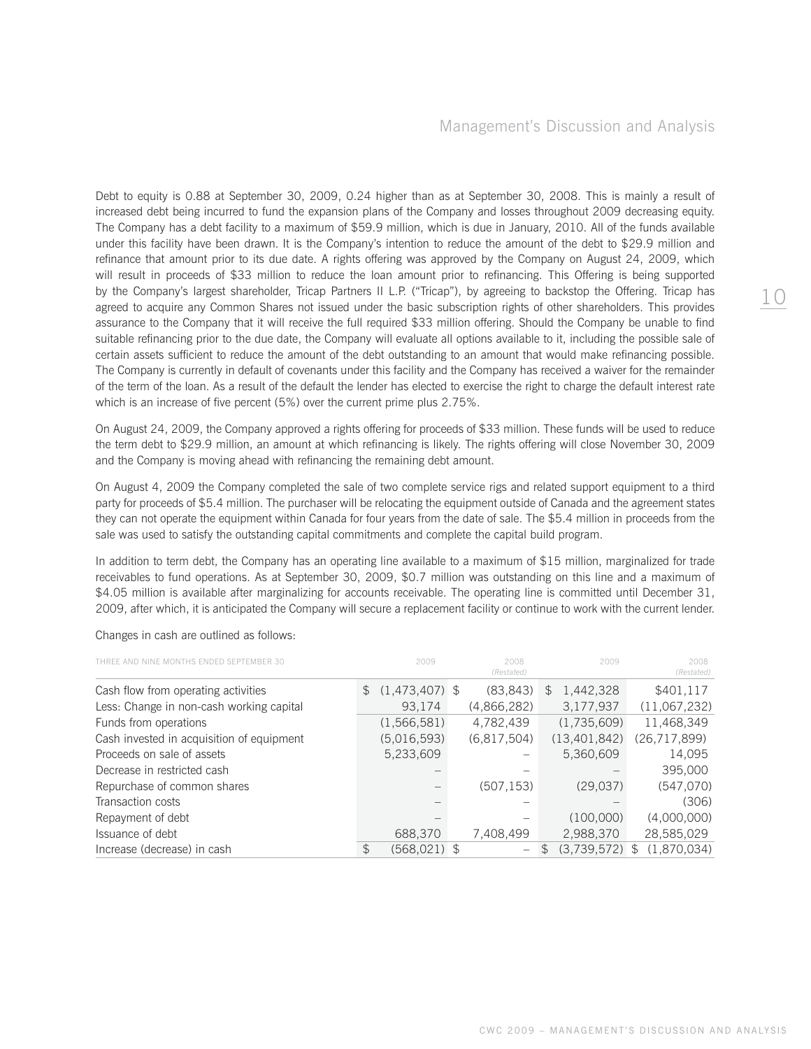Debt to equity is 0.88 at September 30, 2009, 0.24 higher than as at September 30, 2008. This is mainly a result of increased debt being incurred to fund the expansion plans of the Company and losses throughout 2009 decreasing equity. The Company has a debt facility to a maximum of \$59.9 million, which is due in January, 2010. All of the funds available under this facility have been drawn. It is the Company's intention to reduce the amount of the debt to \$29.9 million and refinance that amount prior to its due date. A rights offering was approved by the Company on August 24, 2009, which will result in proceeds of \$33 million to reduce the loan amount prior to refinancing. This Offering is being supported by the Company's largest shareholder, Tricap Partners II L.P. ("Tricap"), by agreeing to backstop the Offering. Tricap has agreed to acquire any Common Shares not issued under the basic subscription rights of other shareholders. This provides assurance to the Company that it will receive the full required \$33 million offering. Should the Company be unable to find suitable refinancing prior to the due date, the Company will evaluate all options available to it, including the possible sale of certain assets sufficient to reduce the amount of the debt outstanding to an amount that would make refinancing possible. The Company is currently in default of covenants under this facility and the Company has received a waiver for the remainder of the term of the loan. As a result of the default the lender has elected to exercise the right to charge the default interest rate which is an increase of five percent (5%) over the current prime plus 2.75%.

On August 24, 2009, the Company approved a rights offering for proceeds of \$33 million. These funds will be used to reduce the term debt to \$29.9 million, an amount at which refinancing is likely. The rights offering will close November 30, 2009 and the Company is moving ahead with refinancing the remaining debt amount.

On August 4, 2009 the Company completed the sale of two complete service rigs and related support equipment to a third party for proceeds of \$5.4 million. The purchaser will be relocating the equipment outside of Canada and the agreement states they can not operate the equipment within Canada for four years from the date of sale. The \$5.4 million in proceeds from the sale was used to satisfy the outstanding capital commitments and complete the capital build program.

In addition to term debt, the Company has an operating line available to a maximum of \$15 million, marginalized for trade receivables to fund operations. As at September 30, 2009, \$0.7 million was outstanding on this line and a maximum of \$4.05 million is available after marginalizing for accounts receivable. The operating line is committed until December 31, 2009, after which, it is anticipated the Company will secure a replacement facility or continue to work with the current lender.

| VE MONTHS ENDED SEPTEMBER 30              | 2009              | 2008<br>(Restated) |     | 2009           |               | 2008<br>(Restated) |
|-------------------------------------------|-------------------|--------------------|-----|----------------|---------------|--------------------|
| Cash flow from operating activities       | $$(1,473,407)$ \$ | (83, 843)          | \$. | 1,442,328      |               | \$401,117          |
| Less: Change in non-cash working capital  | 93,174            | (4,866,282)        |     | 3,177,937      |               | (11,067,232)       |
| Funds from operations                     | (1,566,581)       | 4,782,439          |     | (1,735,609)    |               | 11,468,349         |
| Cash invested in acquisition of equipment | (5,016,593)       | (6,817,504)        |     | (13, 401, 842) |               | (26, 717, 899)     |
| Proceeds on sale of assets                | 5,233,609         | —                  |     | 5,360,609      |               | 14,095             |
| Decrease in restricted cash               |                   |                    |     |                |               | 395,000            |
| Repurchase of common shares               |                   | (507, 153)         |     | (29.037)       |               | (547,070)          |
| Transaction costs                         |                   |                    |     |                |               | (306)              |
| Repayment of debt                         |                   |                    |     | (100,000)      |               | (4,000,000)        |
| Issuance of debt                          | 688,370           | 7,408,499          |     | 2,988,370      |               | 28,585,029         |
| Increase (decrease) in cash               | $(568, 021)$ \$   |                    |     | (3,739,572)    | $\mathcal{F}$ | (1.870.034)        |

Changes in cash are outlined as follows: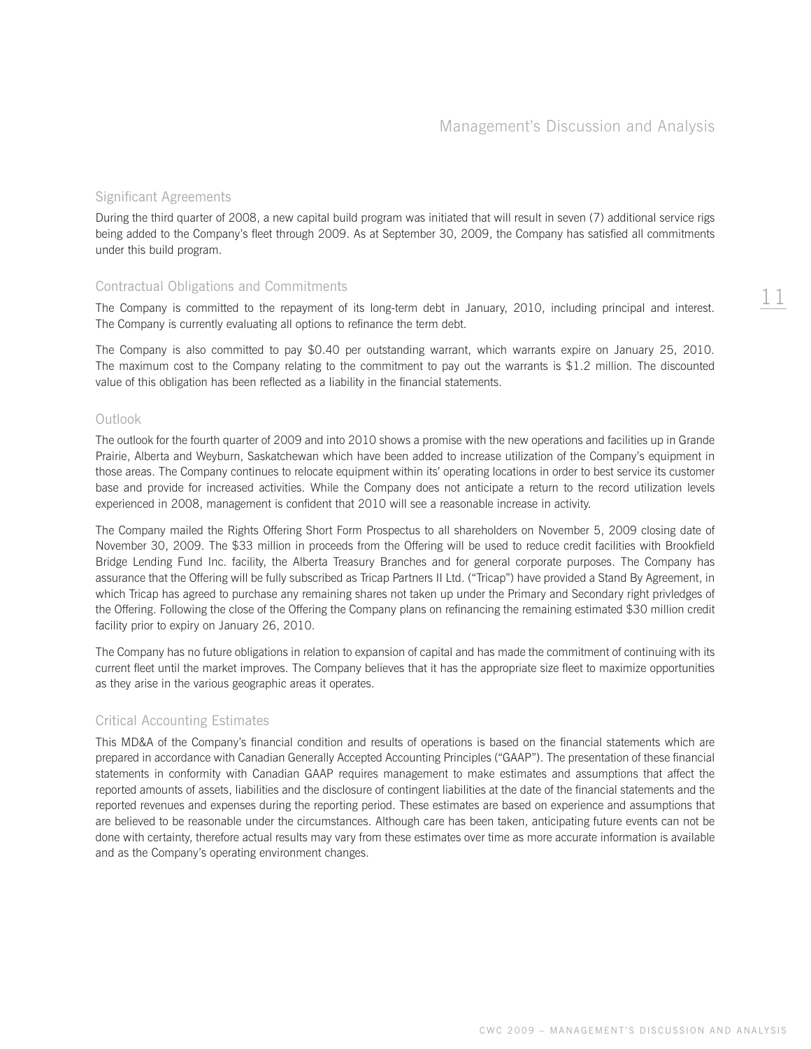11

### Significant Agreements

During the third quarter of 2008, a new capital build program was initiated that will result in seven (7) additional service rigs being added to the Company's fleet through 2009. As at September 30, 2009, the Company has satisfied all commitments under this build program.

# Contractual Obligations and Commitments

The Company is committed to the repayment of its long-term debt in January, 2010, including principal and interest. The Company is currently evaluating all options to refinance the term debt.

The Company is also committed to pay \$0.40 per outstanding warrant, which warrants expire on January 25, 2010. The maximum cost to the Company relating to the commitment to pay out the warrants is \$1.2 million. The discounted value of this obligation has been reflected as a liability in the financial statements.

#### Outlook

The outlook for the fourth quarter of 2009 and into 2010 shows a promise with the new operations and facilities up in Grande Prairie, Alberta and Weyburn, Saskatchewan which have been added to increase utilization of the Company's equipment in those areas. The Company continues to relocate equipment within its' operating locations in order to best service its customer base and provide for increased activities. While the Company does not anticipate a return to the record utilization levels experienced in 2008, management is confident that 2010 will see a reasonable increase in activity.

The Company mailed the Rights Offering Short Form Prospectus to all shareholders on November 5, 2009 closing date of November 30, 2009. The \$33 million in proceeds from the Offering will be used to reduce credit facilities with Brookfield Bridge Lending Fund Inc. facility, the Alberta Treasury Branches and for general corporate purposes. The Company has assurance that the Offering will be fully subscribed as Tricap Partners II Ltd. ("Tricap") have provided a Stand By Agreement, in which Tricap has agreed to purchase any remaining shares not taken up under the Primary and Secondary right privledges of the Offering. Following the close of the Offering the Company plans on refinancing the remaining estimated \$30 million credit facility prior to expiry on January 26, 2010.

The Company has no future obligations in relation to expansion of capital and has made the commitment of continuing with its current fleet until the market improves. The Company believes that it has the appropriate size fleet to maximize opportunities as they arise in the various geographic areas it operates.

## Critical Accounting Estimates

This MD&A of the Company's financial condition and results of operations is based on the financial statements which are prepared in accordance with Canadian Generally Accepted Accounting Principles ("GAAP"). The presentation of these financial statements in conformity with Canadian GAAP requires management to make estimates and assumptions that affect the reported amounts of assets, liabilities and the disclosure of contingent liabilities at the date of the financial statements and the reported revenues and expenses during the reporting period. These estimates are based on experience and assumptions that are believed to be reasonable under the circumstances. Although care has been taken, anticipating future events can not be done with certainty, therefore actual results may vary from these estimates over time as more accurate information is available and as the Company's operating environment changes.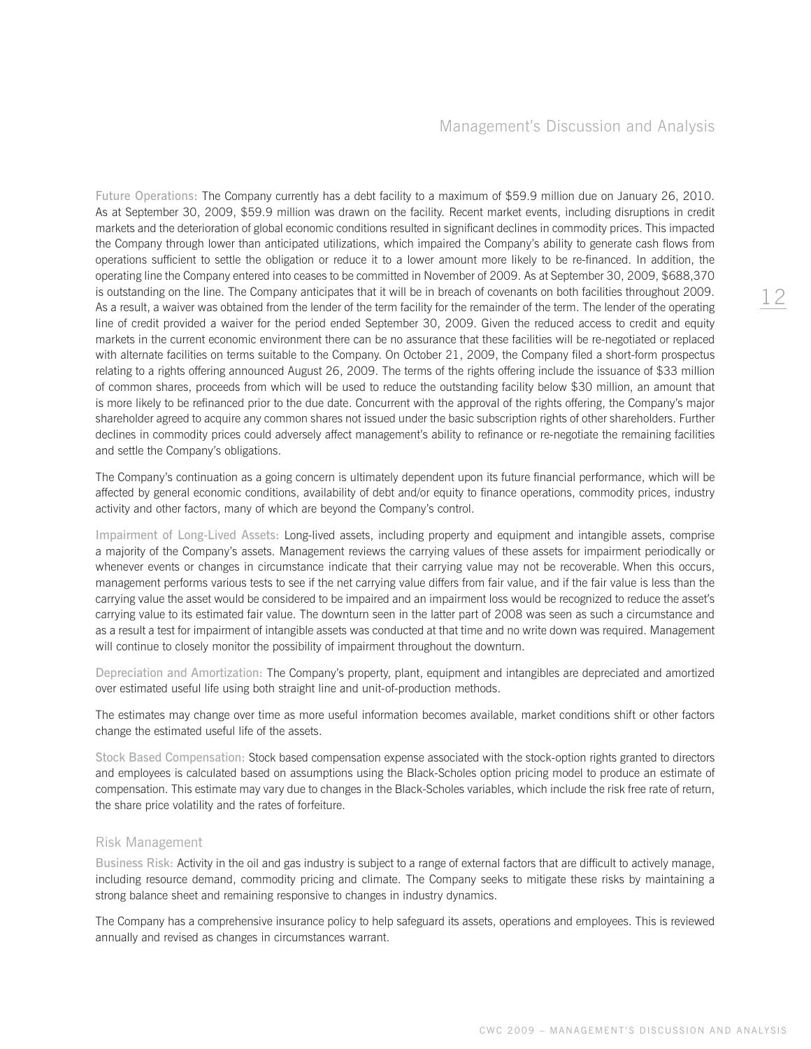Future Operations: The Company currently has a debt facility to a maximum of \$59.9 million due on January 26, 2010. As at September 30, 2009, \$59.9 million was drawn on the facility. Recent market events, including disruptions in credit markets and the deterioration of global economic conditions resulted in significant declines in commodity prices. This impacted the Company through lower than anticipated utilizations, which impaired the Company's ability to generate cash flows from operations sufficient to settle the obligation or reduce it to a lower amount more likely to be re-financed. In addition, the operating line the Company entered into ceases to be committed in November of 2009. As at September 30, 2009, \$688,370 is outstanding on the line. The Company anticipates that it will be in breach of covenants on both facilities throughout 2009. As a result, a waiver was obtained from the lender of the term facility for the remainder of the term. The lender of the operating line of credit provided a waiver for the period ended September 30, 2009. Given the reduced access to credit and equity markets in the current economic environment there can be no assurance that these facilities will be re-negotiated or replaced with alternate facilities on terms suitable to the Company. On October 21, 2009, the Company filed a short-form prospectus relating to a rights offering announced August 26, 2009. The terms of the rights offering include the issuance of \$33 million of common shares, proceeds from which will be used to reduce the outstanding facility below \$30 million, an amount that is more likely to be refinanced prior to the due date. Concurrent with the approval of the rights offering, the Company's major shareholder agreed to acquire any common shares not issued under the basic subscription rights of other shareholders. Further declines in commodity prices could adversely affect management's ability to refinance or re-negotiate the remaining facilities and settle the Company's obligations.

The Company's continuation as a going concern is ultimately dependent upon its future financial performance, which will be affected by general economic conditions, availability of debt and/or equity to finance operations, commodity prices, industry activity and other factors, many of which are beyond the Company's control.

Impairment of Long-Lived Assets: Long-lived assets, including property and equipment and intangible assets, comprise a majority of the Company's assets. Management reviews the carrying values of these assets for impairment periodically or whenever events or changes in circumstance indicate that their carrying value may not be recoverable. When this occurs, management performs various tests to see if the net carrying value differs from fair value, and if the fair value is less than the carrying value the asset would be considered to be impaired and an impairment loss would be recognized to reduce the asset's carrying value to its estimated fair value. The downturn seen in the latter part of 2008 was seen as such a circumstance and as a result a test for impairment of intangible assets was conducted at that time and no write down was required. Management will continue to closely monitor the possibility of impairment throughout the downturn.

Depreciation and Amortization: The Company's property, plant, equipment and intangibles are depreciated and amortized over estimated useful life using both straight line and unit-of-production methods.

The estimates may change over time as more useful information becomes available, market conditions shift or other factors change the estimated useful life of the assets.

Stock Based Compensation: Stock based compensation expense associated with the stock-option rights granted to directors and employees is calculated based on assumptions using the Black-Scholes option pricing model to produce an estimate of compensation. This estimate may vary due to changes in the Black-Scholes variables, which include the risk free rate of return, the share price volatility and the rates of forfeiture.

#### Risk Management

Business Risk: Activity in the oil and gas industry is subject to a range of external factors that are difficult to actively manage, including resource demand, commodity pricing and climate. The Company seeks to mitigate these risks by maintaining a strong balance sheet and remaining responsive to changes in industry dynamics.

The Company has a comprehensive insurance policy to help safeguard its assets, operations and employees. This is reviewed annually and revised as changes in circumstances warrant.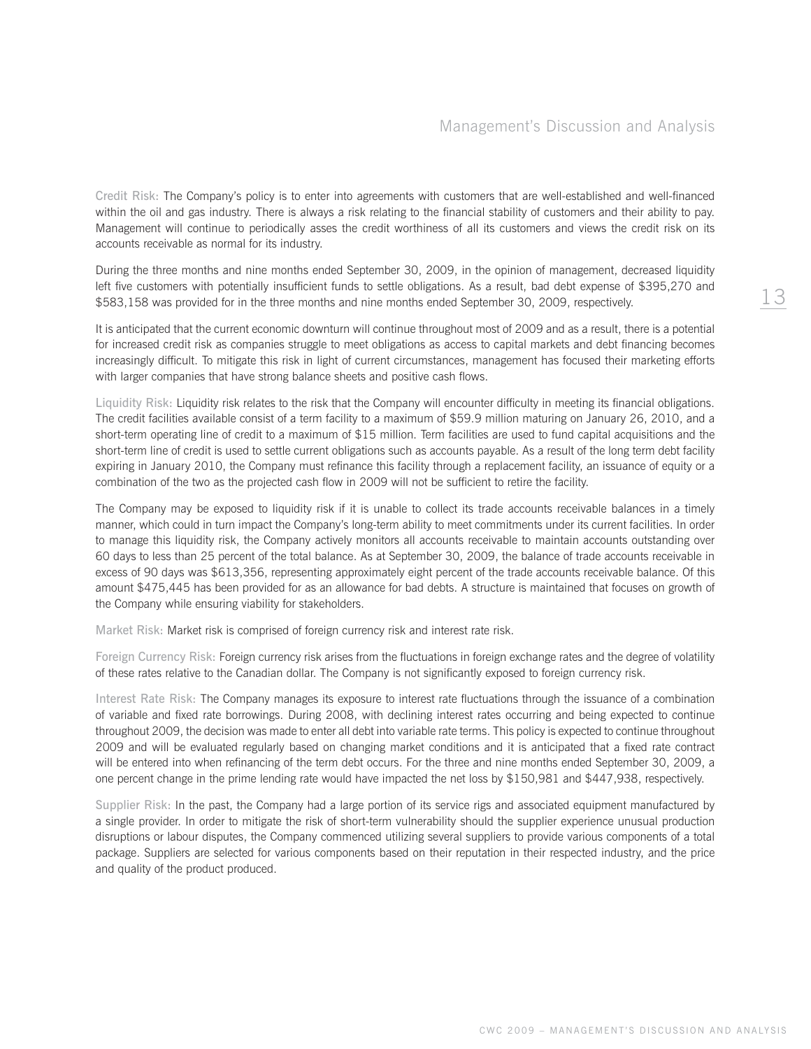Credit Risk: The Company's policy is to enter into agreements with customers that are well-established and well-financed within the oil and gas industry. There is always a risk relating to the financial stability of customers and their ability to pay. Management will continue to periodically asses the credit worthiness of all its customers and views the credit risk on its accounts receivable as normal for its industry.

During the three months and nine months ended September 30, 2009, in the opinion of management, decreased liquidity left five customers with potentially insufficient funds to settle obligations. As a result, bad debt expense of \$395,270 and \$583,158 was provided for in the three months and nine months ended September 30, 2009, respectively.

It is anticipated that the current economic downturn will continue throughout most of 2009 and as a result, there is a potential for increased credit risk as companies struggle to meet obligations as access to capital markets and debt financing becomes increasingly difficult. To mitigate this risk in light of current circumstances, management has focused their marketing efforts with larger companies that have strong balance sheets and positive cash flows.

Liquidity Risk: Liquidity risk relates to the risk that the Company will encounter difficulty in meeting its financial obligations. The credit facilities available consist of a term facility to a maximum of \$59.9 million maturing on January 26, 2010, and a short-term operating line of credit to a maximum of \$15 million. Term facilities are used to fund capital acquisitions and the short-term line of credit is used to settle current obligations such as accounts payable. As a result of the long term debt facility expiring in January 2010, the Company must refinance this facility through a replacement facility, an issuance of equity or a combination of the two as the projected cash flow in 2009 will not be sufficient to retire the facility.

The Company may be exposed to liquidity risk if it is unable to collect its trade accounts receivable balances in a timely manner, which could in turn impact the Company's long-term ability to meet commitments under its current facilities. In order to manage this liquidity risk, the Company actively monitors all accounts receivable to maintain accounts outstanding over 60 days to less than 25 percent of the total balance. As at September 30, 2009, the balance of trade accounts receivable in excess of 90 days was \$613,356, representing approximately eight percent of the trade accounts receivable balance. Of this amount \$475,445 has been provided for as an allowance for bad debts. A structure is maintained that focuses on growth of the Company while ensuring viability for stakeholders.

Market Risk: Market risk is comprised of foreign currency risk and interest rate risk.

Foreign Currency Risk: Foreign currency risk arises from the fluctuations in foreign exchange rates and the degree of volatility of these rates relative to the Canadian dollar. The Company is not significantly exposed to foreign currency risk.

Interest Rate Risk: The Company manages its exposure to interest rate fluctuations through the issuance of a combination of variable and fixed rate borrowings. During 2008, with declining interest rates occurring and being expected to continue throughout 2009, the decision was made to enter all debt into variable rate terms. This policy is expected to continue throughout 2009 and will be evaluated regularly based on changing market conditions and it is anticipated that a fixed rate contract will be entered into when refinancing of the term debt occurs. For the three and nine months ended September 30, 2009, a one percent change in the prime lending rate would have impacted the net loss by \$150,981 and \$447,938, respectively.

Supplier Risk: In the past, the Company had a large portion of its service rigs and associated equipment manufactured by a single provider. In order to mitigate the risk of short-term vulnerability should the supplier experience unusual production disruptions or labour disputes, the Company commenced utilizing several suppliers to provide various components of a total package. Suppliers are selected for various components based on their reputation in their respected industry, and the price and quality of the product produced.